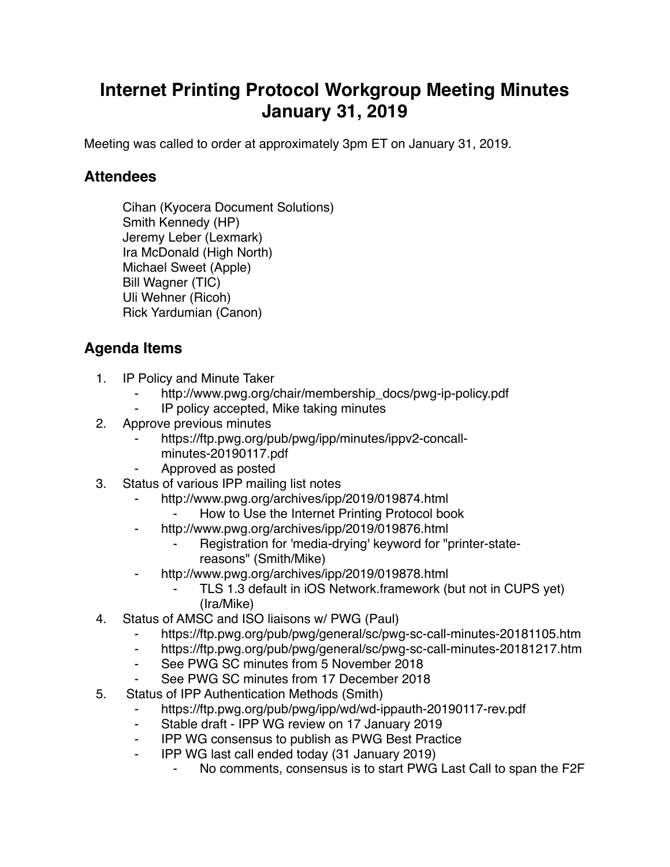# **Internet Printing Protocol Workgroup Meeting Minutes January 31, 2019**

Meeting was called to order at approximately 3pm ET on January 31, 2019.

### **Attendees**

Cihan (Kyocera Document Solutions) Smith Kennedy (HP) Jeremy Leber (Lexmark) Ira McDonald (High North) Michael Sweet (Apple) Bill Wagner (TIC) Uli Wehner (Ricoh) Rick Yardumian (Canon)

## **Agenda Items**

- 1. IP Policy and Minute Taker
	- http://www.pwg.org/chair/membership\_docs/pwg-ip-policy.pdf
	- IP policy accepted, Mike taking minutes
- 2. Approve previous minutes
	- https://ftp.pwg.org/pub/pwg/ipp/minutes/ippv2-concall
		- minutes-20190117.pdf
	- ⁃ Approved as posted
- 3. Status of various IPP mailing list notes
	- http://www.pwg.org/archives/ipp/2019/019874.html
		- How to Use the Internet Printing Protocol book
	- ⁃ http://www.pwg.org/archives/ipp/2019/019876.html
		- Registration for 'media-drying' keyword for "printer-statereasons" (Smith/Mike)
	- ⁃ http://www.pwg.org/archives/ipp/2019/019878.html
		- TLS 1.3 default in iOS Network.framework (but not in CUPS yet) (Ira/Mike)
- 4. Status of AMSC and ISO liaisons w/ PWG (Paul)
	- ⁃ https://ftp.pwg.org/pub/pwg/general/sc/pwg-sc-call-minutes-20181105.htm
	- ⁃ https://ftp.pwg.org/pub/pwg/general/sc/pwg-sc-call-minutes-20181217.htm
	- ⁃ See PWG SC minutes from 5 November 2018
	- ⁃ See PWG SC minutes from 17 December 2018
- 5. Status of IPP Authentication Methods (Smith)
	- https://ftp.pwg.org/pub/pwg/ipp/wd/wd-ippauth-20190117-rev.pdf
	- ⁃ Stable draft IPP WG review on 17 January 2019
	- **IPP WG consensus to publish as PWG Best Practice**
	- ⁃ IPP WG last call ended today (31 January 2019)
		- No comments, consensus is to start PWG Last Call to span the F2F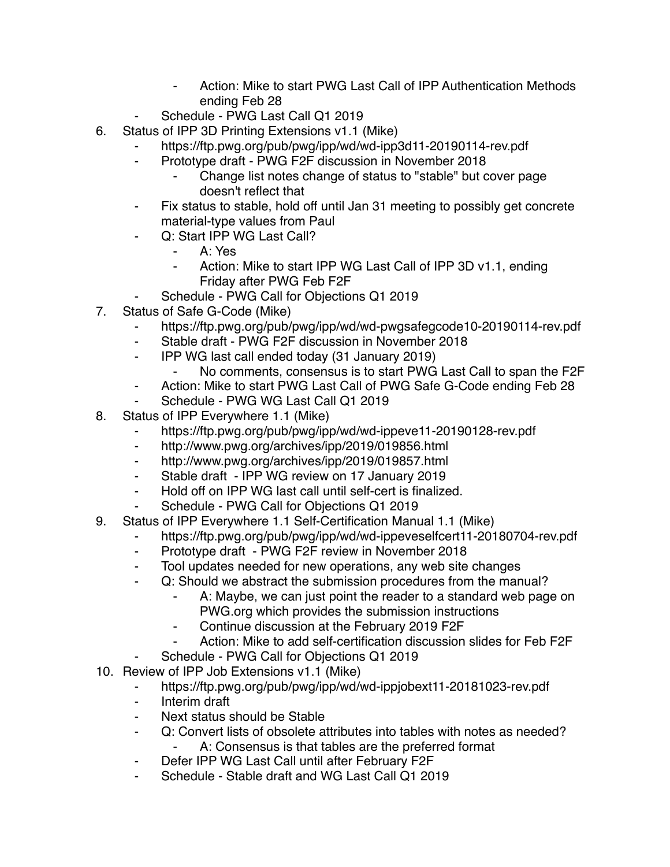- Action: Mike to start PWG Last Call of IPP Authentication Methods ending Feb 28
- Schedule PWG Last Call Q1 2019
- 6. Status of IPP 3D Printing Extensions v1.1 (Mike)
	- ⁃ https://ftp.pwg.org/pub/pwg/ipp/wd/wd-ipp3d11-20190114-rev.pdf
		- Prototype draft PWG F2F discussion in November 2018
			- Change list notes change of status to "stable" but cover page doesn't reflect that
	- Fix status to stable, hold off until Jan 31 meeting to possibly get concrete material-type values from Paul
	- Q: Start IPP WG Last Call?
		- ⁃ A: Yes
		- Action: Mike to start IPP WG Last Call of IPP 3D v1.1, ending Friday after PWG Feb F2F
	- Schedule PWG Call for Objections Q1 2019
- 7. Status of Safe G-Code (Mike)
	- https://ftp.pwg.org/pub/pwg/ipp/wd/wd-pwgsafegcode10-20190114-rev.pdf
	- Stable draft PWG F2F discussion in November 2018
	- ⁃ IPP WG last call ended today (31 January 2019)
		- No comments, consensus is to start PWG Last Call to span the F2F
	- ⁃ Action: Mike to start PWG Last Call of PWG Safe G-Code ending Feb 28
	- Schedule PWG WG Last Call Q1 2019
- 8. Status of IPP Everywhere 1.1 (Mike)
	- ⁃ https://ftp.pwg.org/pub/pwg/ipp/wd/wd-ippeve11-20190128-rev.pdf
	- ⁃ http://www.pwg.org/archives/ipp/2019/019856.html
	- ⁃ http://www.pwg.org/archives/ipp/2019/019857.html
	- ⁃ Stable draft IPP WG review on 17 January 2019
	- Hold off on IPP WG last call until self-cert is finalized.
	- Schedule PWG Call for Objections Q1 2019
- 9. Status of IPP Everywhere 1.1 Self-Certification Manual 1.1 (Mike)
	- https://ftp.pwg.org/pub/pwg/ipp/wd/wd-ippeveselfcert11-20180704-rev.pdf
	- ⁃ Prototype draft PWG F2F review in November 2018
	- Tool updates needed for new operations, any web site changes
	- ⁃ Q: Should we abstract the submission procedures from the manual?
		- A: Maybe, we can just point the reader to a standard web page on PWG.org which provides the submission instructions
		- ⁃ Continue discussion at the February 2019 F2F
		- Action: Mike to add self-certification discussion slides for Feb F2F
		- Schedule PWG Call for Objections Q1 2019
- 10. Review of IPP Job Extensions v1.1 (Mike)
	- ⁃ https://ftp.pwg.org/pub/pwg/ipp/wd/wd-ippjobext11-20181023-rev.pdf
	- ⁃ Interim draft
	- Next status should be Stable
	- ⁃ Q: Convert lists of obsolete attributes into tables with notes as needed?
		- A: Consensus is that tables are the preferred format
	- ⁃ Defer IPP WG Last Call until after February F2F
	- ⁃ Schedule Stable draft and WG Last Call Q1 2019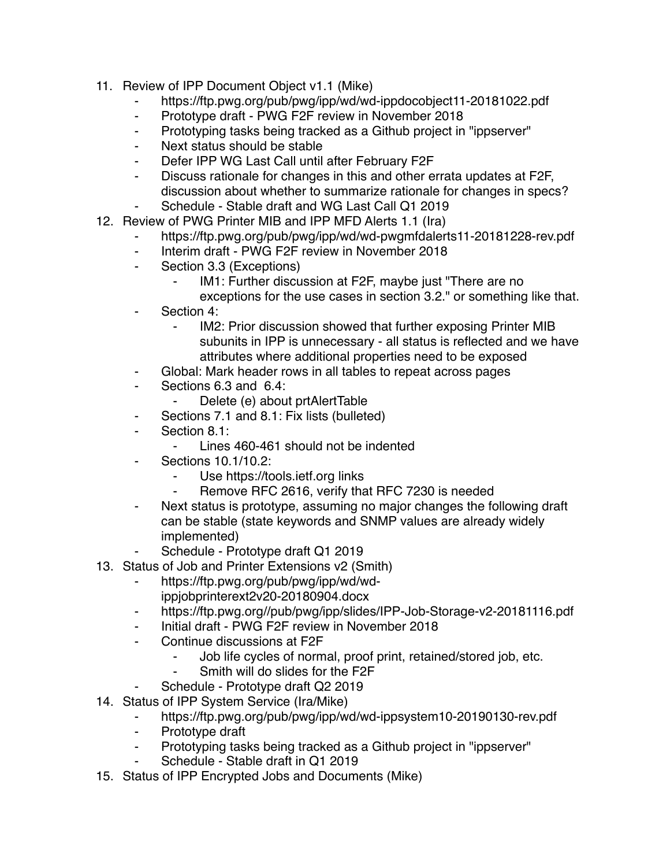- 11. Review of IPP Document Object v1.1 (Mike)
	- ⁃ https://ftp.pwg.org/pub/pwg/ipp/wd/wd-ippdocobject11-20181022.pdf
	- Prototype draft PWG F2F review in November 2018
	- ⁃ Prototyping tasks being tracked as a Github project in "ippserver"
	- ⁃ Next status should be stable
	- Defer IPP WG Last Call until after February F2F
	- ⁃ Discuss rationale for changes in this and other errata updates at F2F, discussion about whether to summarize rationale for changes in specs?
	- Schedule Stable draft and WG Last Call Q1 2019
- 12. Review of PWG Printer MIB and IPP MFD Alerts 1.1 (Ira)
	- https://ftp.pwg.org/pub/pwg/ipp/wd/wd-pwgmfdalerts11-20181228-rev.pdf
	- ⁃ Interim draft PWG F2F review in November 2018
	- ⁃ Section 3.3 (Exceptions)
		- IM1: Further discussion at F2F, maybe just "There are no exceptions for the use cases in section 3.2." or something like that.
	- Section 4:
		- ⁃ IM2: Prior discussion showed that further exposing Printer MIB subunits in IPP is unnecessary - all status is reflected and we have attributes where additional properties need to be exposed
	- ⁃ Global: Mark header rows in all tables to repeat across pages
	- ⁃ Sections 6.3 and 6.4:
		- ⁃ Delete (e) about prtAlertTable
	- Sections 7.1 and 8.1: Fix lists (bulleted)
	- ⁃ Section 8.1:
		- ⁃ Lines 460-461 should not be indented
	- ⁃ Sections 10.1/10.2:
		- ⁃ Use https://tools.ietf.org links
		- ⁃ Remove RFC 2616, verify that RFC 7230 is needed
	- ⁃ Next status is prototype, assuming no major changes the following draft can be stable (state keywords and SNMP values are already widely implemented)
	- Schedule Prototype draft Q1 2019
- 13. Status of Job and Printer Extensions v2 (Smith)
	- ⁃ https://ftp.pwg.org/pub/pwg/ipp/wd/wdippjobprinterext2v20-20180904.docx
	- ⁃ https://ftp.pwg.org//pub/pwg/ipp/slides/IPP-Job-Storage-v2-20181116.pdf
	- ⁃ Initial draft PWG F2F review in November 2018
	- Continue discussions at F2F
		- Job life cycles of normal, proof print, retained/stored job, etc.
		- Smith will do slides for the F2F
	- Schedule Prototype draft Q2 2019
- 14. Status of IPP System Service (Ira/Mike)

#### https://ftp.pwg.org/pub/pwg/ipp/wd/wd-ippsystem10-20190130-rev.pdf

- ⁃ Prototype draft
- ⁃ Prototyping tasks being tracked as a Github project in "ippserver"
- Schedule Stable draft in Q1 2019
- 15. Status of IPP Encrypted Jobs and Documents (Mike)